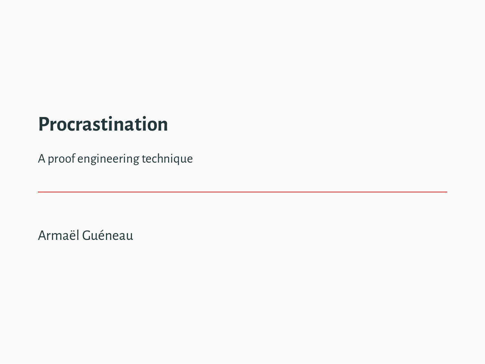# **Procrastination**

A proof engineering technique

Armaël Guéneau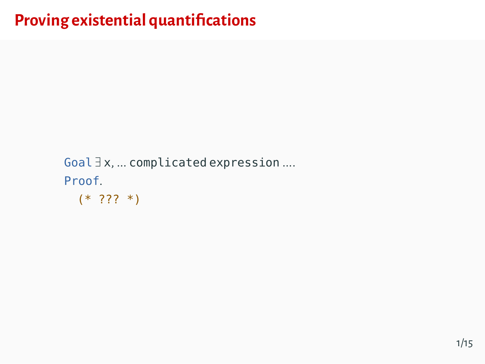# **Proving existential quantifications**

```
Goal \exists x, ... complicated expression ....
Proof.
  (* 777 * )
```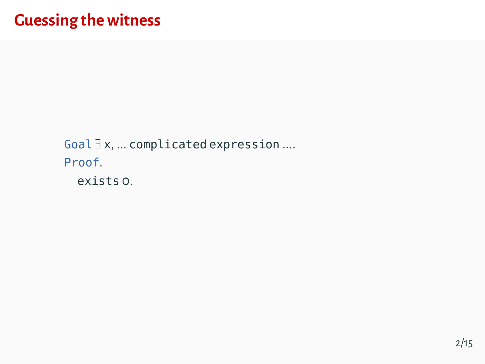Goal  $\exists$  x, ... complicated expression .... Proof. exists o.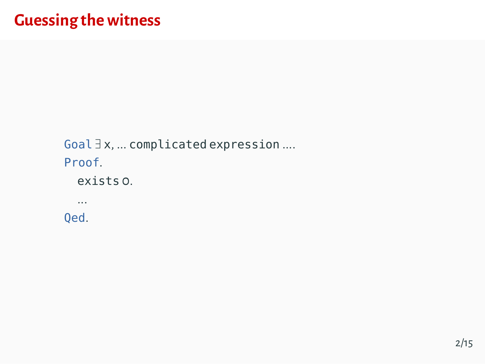Goal  $\exists$  x, ... complicated expression .... Proof. exists o. . . . Qed.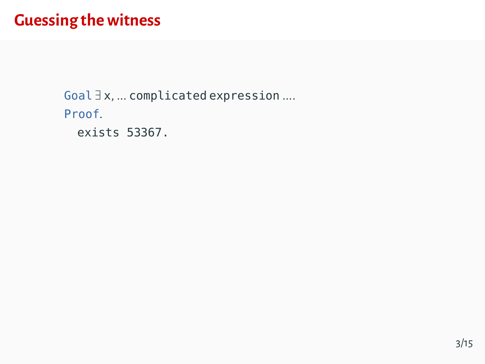```
Goal \exists x, ... combinedized expression ...Proof.
  exists 53367.
```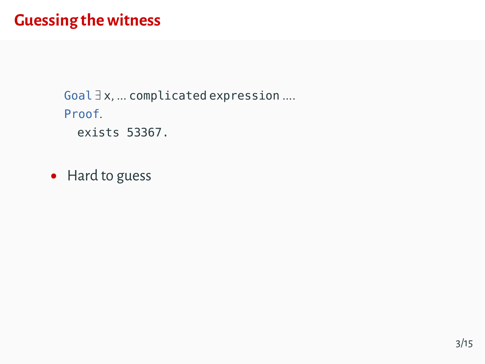```
Goal \exists x, ... complicated expression ....
Proof.
  exists 53367.
```
• Hard to guess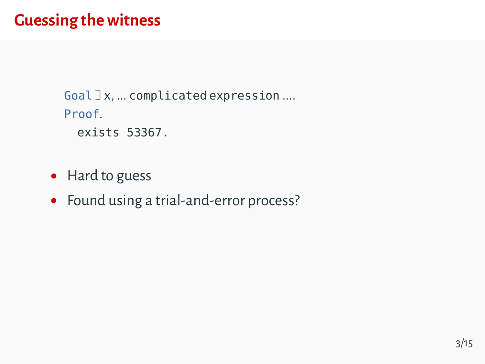```
Goal \exists x, ... complicated expression ....
Proof.
  exists 53367.
```
- Hard to guess
- Found using a trial-and-error process?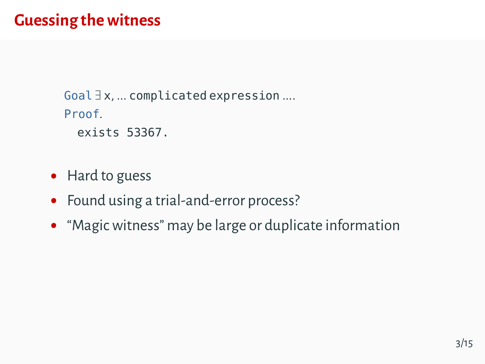```
Goal \exists x, ... complicated expression ....
Proof.
  exists 53367.
```
- Hard to guess
- Found using a trial-and-error process?
- "Magic witness" may be large or duplicate information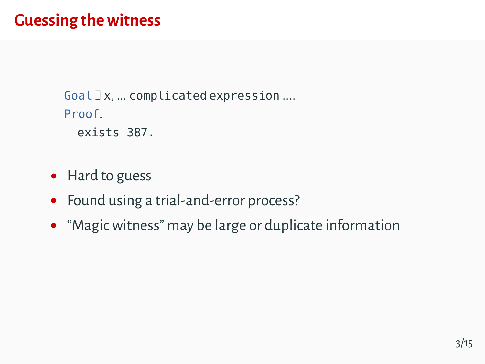```
Goal \exists x, ... complicated expression ....
Proof.
  exists 387.
```
- Hard to guess
- Found using a trial-and-error process?
- "Magic witness" may be large or duplicate information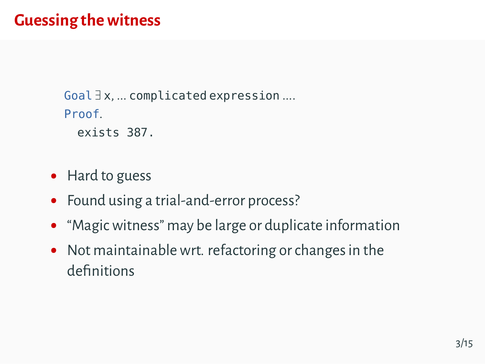```
Goal \exists x, ... complicated expression ....
Proof.
  exists 387.
```
- Hard to guess
- Found using a trial-and-error process?
- "Magic witness" may be large or duplicate information
- Not maintainable wrt. refactoring or changes in the definitions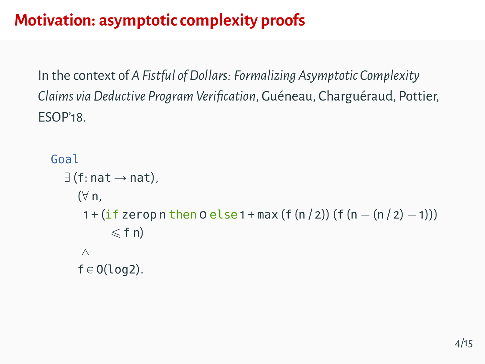# **Motivation: asymptotic complexity proofs**

In the context of *A Fistful of Dollars: Formalizing Asymptotic Complexity Claims via Deductive Program Verification*, Guéneau, Charguéraud, Pottier, ESOP'18.

```
Goal
   \exists (f: nat \rightarrow nat),
      (\forall n,1 + (if zerop n then 0 else 1 + max (f (n / 2)) (f (n - (n / 2) - 1))
              \leq f n\wedgef \in O(log2).
```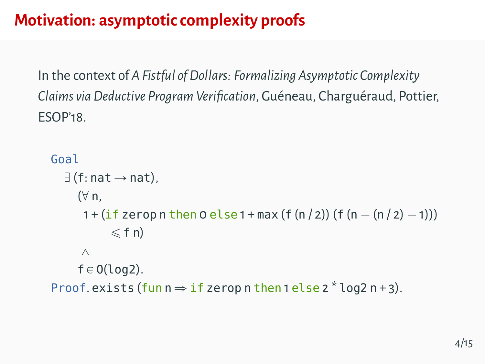# **Motivation: asymptotic complexity proofs**

In the context of *A Fistful of Dollars: Formalizing Asymptotic Complexity Claims via Deductive Program Verification*, Guéneau, Charguéraud, Pottier, ESOP'18.

```
Goal
  \exists (f: nat \rightarrow nat).
      (\forall n,1 + (if zerop n then 0 else 1 + max (f (n / 2)) (f (n - (n / 2) - 1))
             \leq f n\wedgef \in O(log2).
Proof. exists (fun n \Rightarrow if zerop n then 1 else 2 * log2 n + 3).
```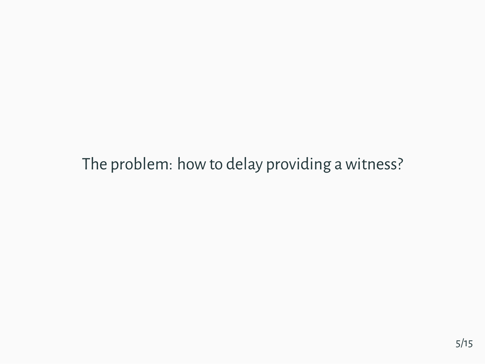The problem: how to delay providing a witness?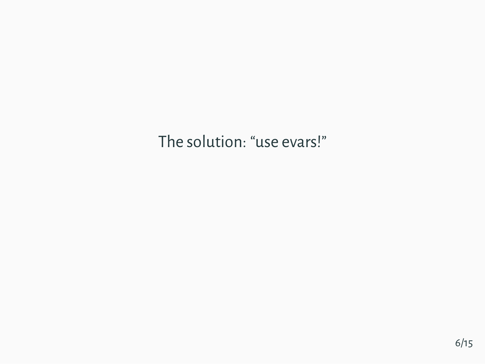The solution: "use evars!"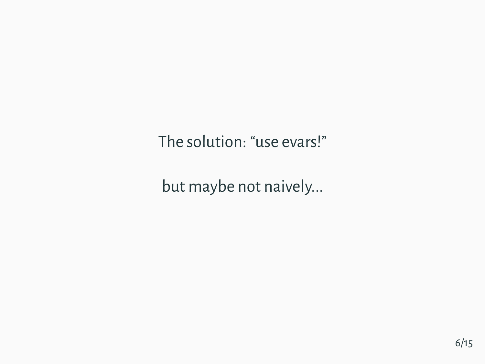The solution: "use evars!"

but maybe not naively...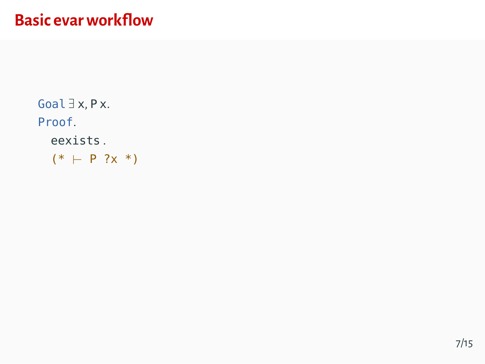Goal  $\exists$  x, P x. Proof. eexists .  $(* + P ?x *)$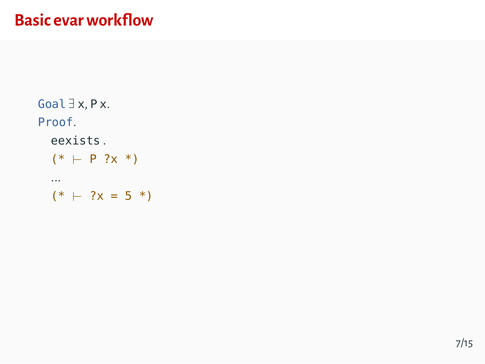Goal  $\exists$  x, P x. Proof. eexists .  $(* + P ?x *)$ ...  $(* + ?x = 5 *)$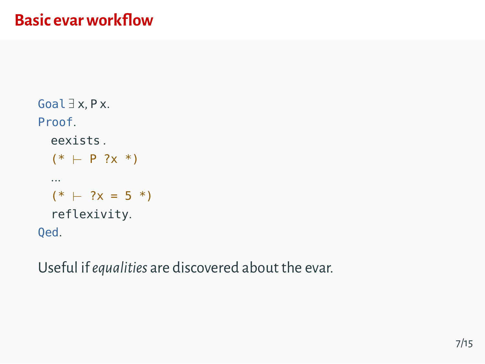```
Goal \exists x, P x.
Proof.
  eexists .
  (* + P ?x *)...
  (* + ?x = 5 *)reflexivity.
Qed.
```
Useful if*equalities* are discovered about the evar.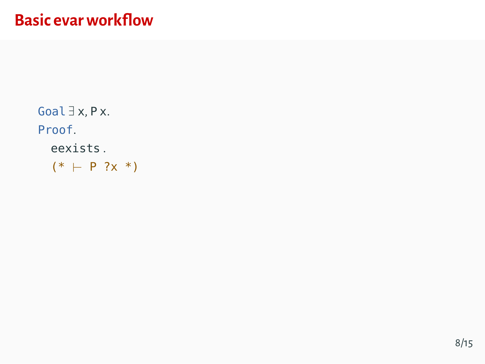Goal  $\exists$  x, P x. Proof. eexists.  $(* + P ?x *)$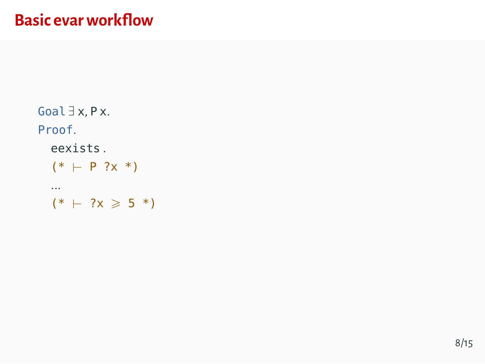```
Goal \exists x, P x.
Proof.
  eexists.
  (* + P ?x *)\cdots(* + ?x \ge 5 *)
```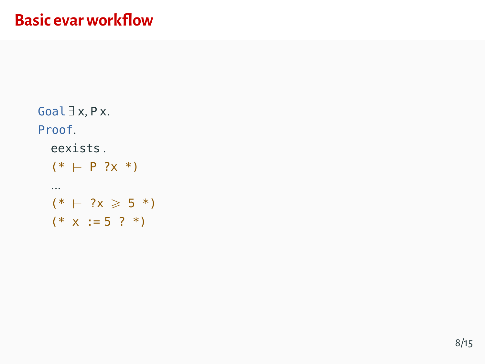```
Goal \exists x, P x.
Proof.
  eexists.
  (* + P ?x *)\cdots(* + ?x \ge 5 *)(* x := 5 ? *)
```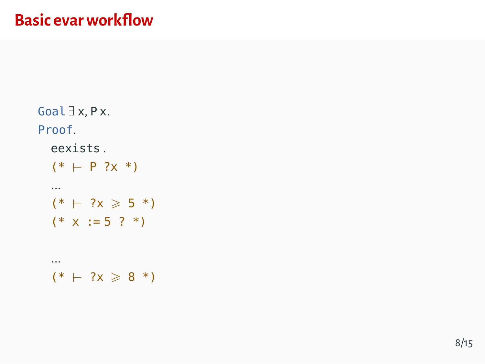```
Goal \exists x, P x.
Proof.
  eexists.
  (* + P ?x *)\cdots(* + ?x \ge 5 *)(* x := 5 ? *). . .
  (* + ?x \ge 8 *)
```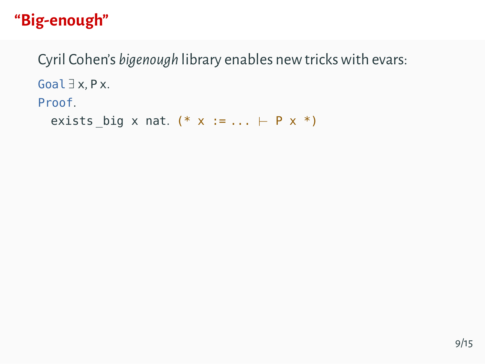Cyril Cohen's bigenough library enables new tricks with evars: Goal  $\exists$  x, P x. Proof. exists big x nat. (\* x := ...  $\vdash$  P x \*)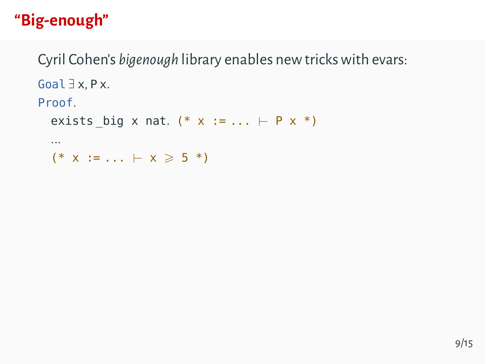Cyril Cohen's bigenough library enables new tricks with evars: Goal  $\exists$  x, P x. Proof. exists big x nat. (\* x := ...  $\vdash$  P x \*)  $\cdots$ 

 $(* x := ... \vdash x \ge 5 *)$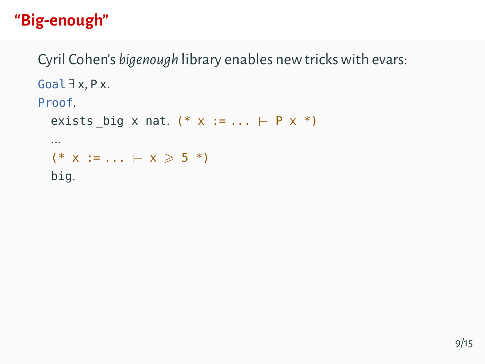Cyril Cohen's bigenough library enables new tricks with evars: Goal  $\exists$  x, P x. Proof. exists big x nat. (\* x := ...  $\vdash$  P x \*)  $\cdots$  $(* x := ... \vdash x \ge 5 *)$ 

big.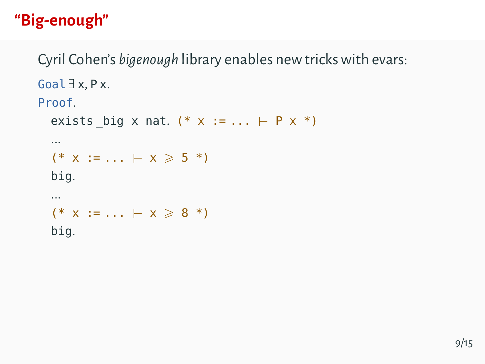Cyril Cohen's bigenough library enables new tricks with evars: Goal  $\exists$  x, P x. Proof.

```
exists big x nat. (* x := ... \vdash P x *)
\cdots(* x := ... \vdash x \geq 5 *)big.
\cdots(* x := ... \vdash x \ge 8 *)big.
```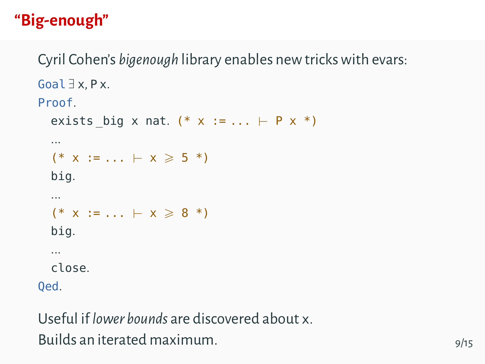Cyril Cohen's bigenough library enables new tricks with evars: Goal  $\exists$  x, P x. Proof.

```
exists big x nat. (* x := ... \vdash P x *)
  \cdots(* x := ... \vdash x \geq 5 *)big.
  \cdots(* x := ... \vdash x \ge 8 *)big.
  \cdotsclose.
0ed.
```
Useful if lower hounds are discovered about x Builds an iterated maximum.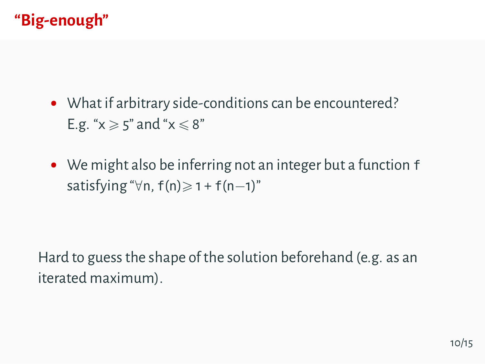- What if arbitrary side-conditions can be encountered? E.g. " $x \ge 5$ " and " $x \le 8$ "
- We might also be inferring not an integer but a function <sup>f</sup> satisfying " $\forall n$ , f(n) $\geq 1 + f(n-1)$ "

Hard to guess the shape of the solution beforehand (e.g. as an iterated maximum).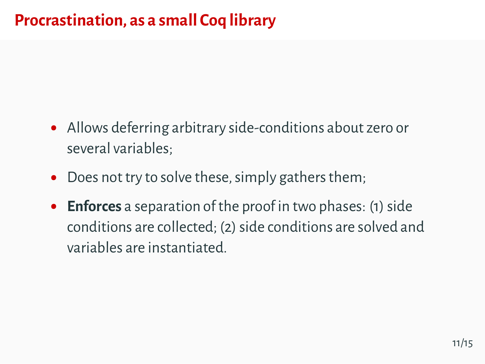#### **Procrastination, as a small Coq library**

- Allows deferring arbitrary side-conditions about zero or several variables;
- $\bullet$ Does not try to solve these, simply gathers them;
- $\bullet$ **Enforces** a separation of the proof in two phases: (1) side conditions are collected; (2) side conditions are solved and variables are instantiated.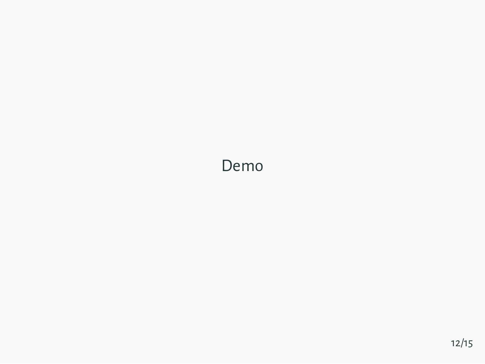#### Demo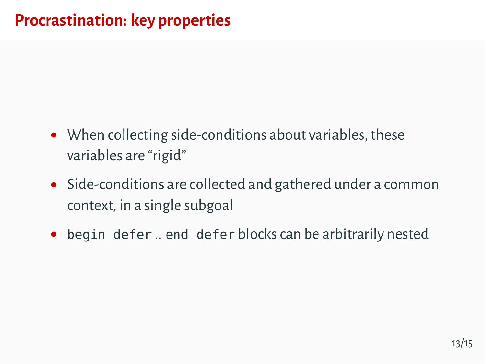- When collecting side-conditions about variables, these variables are "rigid"
- Side-conditions are collected and gathered under a common context, in a single subgoal
- begin defer .. end defer blocks can be arbitrarily nested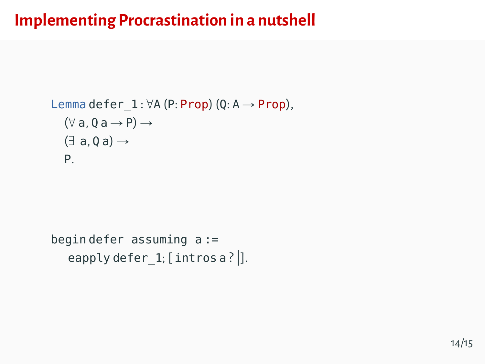#### **Implementing Procrastination in a nutshell**

```
Lemma defer 1 : \forall A (P: Prop) (Q: A \rightarrow Prop),
    (\forall a, 0 a \rightarrow P) \rightarrow(\exists a, 0 a) \rightarrowP.
```

```
begin defer assuming a :=
  eapply defer 1; [intros a ? |].
```